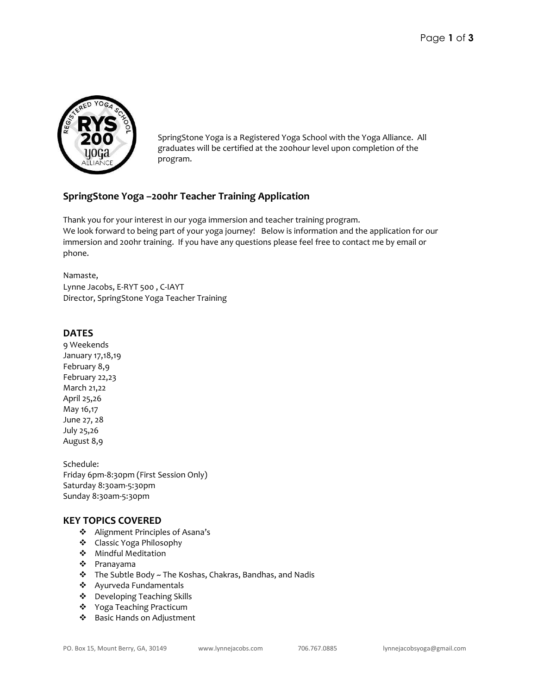

SpringStone Yoga is a Registered Yoga School with the Yoga Alliance. All graduates will be certified at the 200hour level upon completion of the program.

# **SpringStone Yoga –200hr Teacher Training Application**

Thank you for your interest in our yoga immersion and teacher training program. We look forward to being part of your yoga journey! Below is information and the application for our immersion and 200hr training. If you have any questions please feel free to contact me by email or phone.

Namaste, Lynne Jacobs, E-RYT 500 , C-IAYT Director, SpringStone Yoga Teacher Training

# **DATES**

9 Weekends January 17,18,19 February 8,9 February 22,23 March 21,22 April 25,26 May 16,17 June 27, 28 July 25,26 August 8,9

Schedule: Friday 6pm-8:30pm (First Session Only) Saturday 8:30am-5:30pm Sunday 8:30am-5:30pm

### **KEY TOPICS COVERED**

- Alignment Principles of Asana's
- Classic Yoga Philosophy
- Mindful Meditation
- Pranayama
- \* The Subtle Body ~ The Koshas, Chakras, Bandhas, and Nadis
- Ayurveda Fundamentals
- Developing Teaching Skills
- Yoga Teaching Practicum
- Basic Hands on Adjustment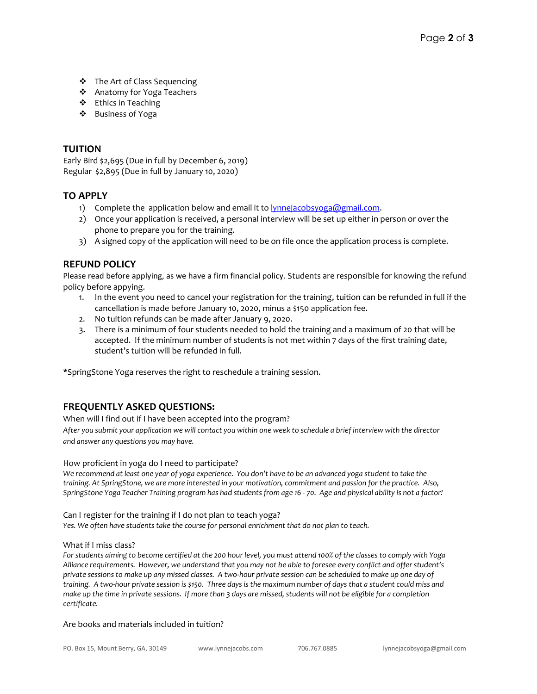- $\div$  The Art of Class Sequencing
- Anatomy for Yoga Teachers
- ❖ Ethics in Teaching
- Business of Yoga

# **TUITION**

Early Bird \$2,695 (Due in full by December 6, 2019) Regular \$2,895 (Due in full by January 10, 2020)

# **TO APPLY**

- 1) Complete the application below and email it to [lynnejacobsyoga@gmail.com.](mailto:lynnejacobsyoga@gmail.com)
- 2) Once your application is received, a personal interview will be set up either in person or over the phone to prepare you for the training.
- 3) A signed copy of the application will need to be on file once the application process is complete.

### **REFUND POLICY**

Please read before applying, as we have a firm financial policy. Students are responsible for knowing the refund policy before appying.

- 1. In the event you need to cancel your registration for the training, tuition can be refunded in full if the cancellation is made before January 10, 2020, minus a \$150 application fee.
- 2. No tuition refunds can be made after January 9, 2020.
- 3. There is a minimum of four students needed to hold the training and a maximum of 20 that will be accepted. If the minimum number of students is not met within 7 days of the first training date, student's tuition will be refunded in full.

\*SpringStone Yoga reserves the right to reschedule a training session.

# **FREQUENTLY ASKED QUESTIONS:**

When will I find out if I have been accepted into the program?

*After you submit your application we will contact you within one week to schedule a brief interview with the director and answer any questions you may have.* 

How proficient in yoga do I need to participate?

*We recommend at least one year of yoga experience. You don't have to be an advanced yoga student to take the training. At SpringStone, we are more interested in your motivation, commitment and passion for the practice. Also, SpringStone Yoga Teacher Training program has had students from age 16 - 70. Age and physical ability is not a factor!*

Can I register for the training if I do not plan to teach yoga?

*Yes. We often have students take the course for personal enrichment that do not plan to teach.* 

#### What if I miss class?

*For students aiming to become certified at the 200 hour level, you must attend 100% of the classes to comply with Yoga Alliance requirements. However, we understand that you may not be able to foresee every conflict and offer student's private sessions to make up any missed classes. A two-hour private session can be scheduled to make up one day of training. A two-hour private session is \$150. Three days is the maximum number of days that a student could miss and make up the time in private sessions. If more than 3 days are missed, students will not be eligible for a completion certificate.*

Are books and materials included in tuition?